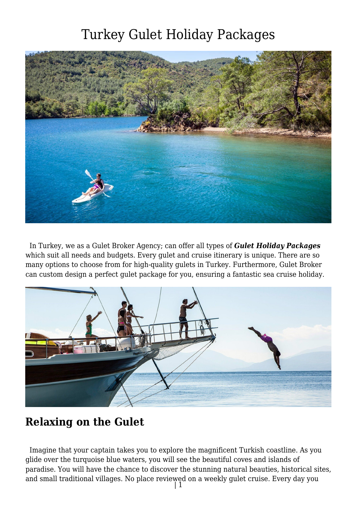

 In Turkey, we as a Gulet Broker Agency; can offer all types of *Gulet Holiday Packages* which suit all needs and budgets. Every gulet and cruise itinerary is unique. There are so many options to choose from for high-quality gulets in Turkey. Furthermore, Gulet Broker can custom design a perfect gulet package for you, ensuring a fantastic sea cruise holiday.



#### **Relaxing on the Gulet**

 Imagine that your captain takes you to explore the magnificent Turkish coastline. As you glide over the turquoise blue waters, you will see the beautiful coves and islands of paradise. You will have the chance to discover the stunning natural beauties, historical sites, and small traditional villages. No place reviewed on a weekly gulet cruise. Every day you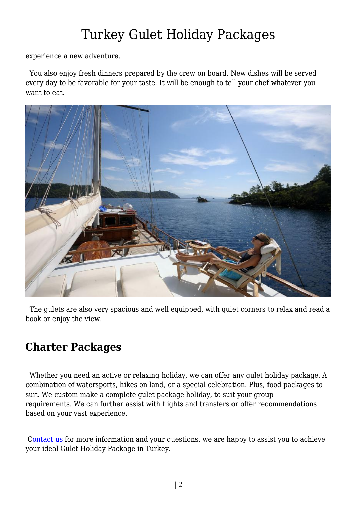experience a new adventure.

 You also enjoy fresh dinners prepared by the crew on board. New dishes will be served every day to be favorable for your taste. It will be enough to tell your chef whatever you want to eat.



 The gulets are also very spacious and well equipped, with quiet corners to relax and read a book or enjoy the view.

#### **Charter Packages**

 Whether you need an active or relaxing holiday, we can offer any gulet holiday package. A combination of watersports, hikes on land, or a special celebration. Plus, food packages to suit. We custom make a complete gulet package holiday, to suit your group requirements. We can further assist with flights and transfers or offer recommendations based on your vast experience.

[Contact us](https://www.guletbroker.com/contact/) for more information and your questions, we are happy to assist you to achieve your ideal Gulet Holiday Package in Turkey.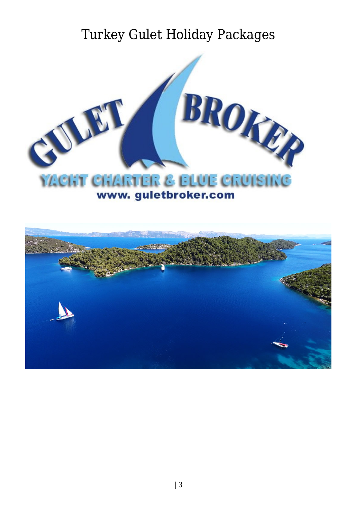

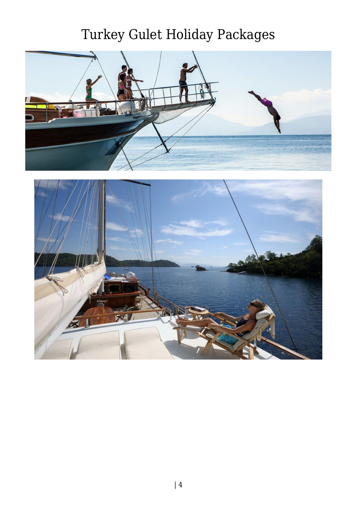